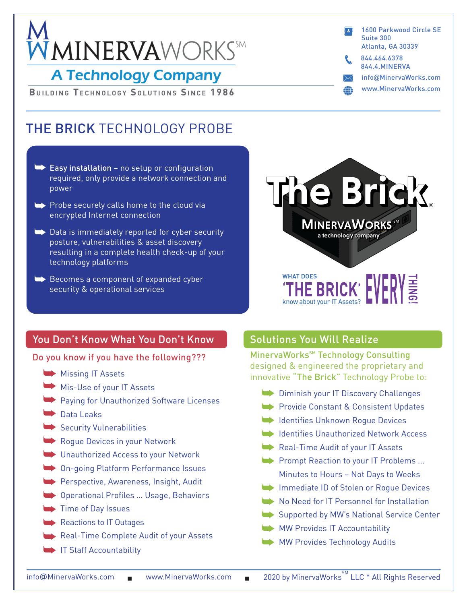# $\bar{M}$ MINERVAWORKS

# **A Technology Company**

**BUILDING TECHNOLOGY SOLUTIONS SINCE 1986** 

# THE BRICK TECHNOLOGY PROBE

- $\blacktriangleright$  Easy installation no setup or configuration required, only provide a network connection and power
- $\rightarrow$  Probe securely calls home to the cloud via encrypted Internet connection
- $\blacktriangleright$  Data is immediately reported for cyber security posture, vulnerabilities & asset discovery resulting in a complete health check-up of your technology platforms
- $\blacktriangleright$  Becomes a component of expanded cyber security & operational services



info@MinervaWorks.com www.MinervaWorks.com

1600 Parkwood Circle SE

Atlanta, GA 30339

844.4.MINERVA 844.464.6378

Suite 300

# You Don't Know What You Don't Know

Do you know if you have the following???

- Missing IT Assets
- Mis-Use of your IT Assets
- Paying for Unauthorized Software Licenses
- Data Leaks
- Security Vulnerabilities
- Rogue Devices in your Network
- Unauthorized Access to your Network
- On-going Platform Performance Issues
- Perspective, Awareness, Insight, Audit
- Operational Profiles … Usage, Behaviors
- Time of Day Issues
- Reactions to IT Outages
- Real-Time Complete Audit of your Assets
- IT Staff Accountability

# Solutions You Will Realize

know about your IT Assets?

MinervaWorks<sup>SM</sup> Technology Consulting designed & engineered the proprietary and innovative "The Brick" Technology Probe to:

- Diminish your IT Discovery Challenges
- Provide Constant & Consistent Updates
- Identifies Unknown Rogue Devices
- Identifies Unauthorized Network Access
- Real-Time Audit of your IT Assets
- Prompt Reaction to your IT Problems ... Minutes to Hours – Not Days to Weeks
- Immediate ID of Stolen or Rogue Devices
- No Need for IT Personnel for Installation
- Supported by MW's National Service Center
- MW Provides IT Accountability
- MW Provides Technology Audits